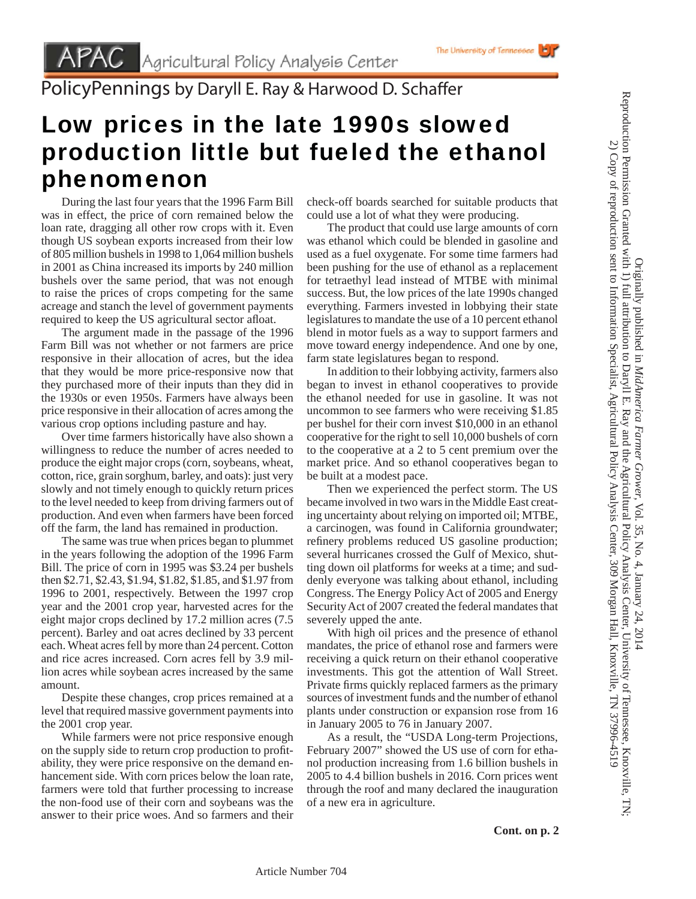

PolicyPennings by Daryll E. Ray & Harwood D. Schaffer

## Low prices in the late 1990s slowed production little but fueled the ethanol phenomenon

 During the last four years that the 1996 Farm Bill was in effect, the price of corn remained below the loan rate, dragging all other row crops with it. Even though US soybean exports increased from their low of 805 million bushels in 1998 to 1,064 million bushels in 2001 as China increased its imports by 240 million bushels over the same period, that was not enough to raise the prices of crops competing for the same acreage and stanch the level of government payments required to keep the US agricultural sector afloat.

 The argument made in the passage of the 1996 Farm Bill was not whether or not farmers are price responsive in their allocation of acres, but the idea that they would be more price-responsive now that they purchased more of their inputs than they did in the 1930s or even 1950s. Farmers have always been price responsive in their allocation of acres among the various crop options including pasture and hay.

 Over time farmers historically have also shown a willingness to reduce the number of acres needed to produce the eight major crops (corn, soybeans, wheat, cotton, rice, grain sorghum, barley, and oats): just very slowly and not timely enough to quickly return prices to the level needed to keep from driving farmers out of production. And even when farmers have been forced off the farm, the land has remained in production.

 The same was true when prices began to plummet in the years following the adoption of the 1996 Farm Bill. The price of corn in 1995 was \$3.24 per bushels then \$2.71, \$2.43, \$1.94, \$1.82, \$1.85, and \$1.97 from 1996 to 2001, respectively. Between the 1997 crop year and the 2001 crop year, harvested acres for the eight major crops declined by 17.2 million acres (7.5 percent). Barley and oat acres declined by 33 percent each. Wheat acres fell by more than 24 percent. Cotton and rice acres increased. Corn acres fell by 3.9 million acres while soybean acres increased by the same amount.

 Despite these changes, crop prices remained at a level that required massive government payments into the 2001 crop year.

 While farmers were not price responsive enough on the supply side to return crop production to profitability, they were price responsive on the demand enhancement side. With corn prices below the loan rate, farmers were told that further processing to increase the non-food use of their corn and soybeans was the answer to their price woes. And so farmers and their check-off boards searched for suitable products that could use a lot of what they were producing.

 The product that could use large amounts of corn was ethanol which could be blended in gasoline and used as a fuel oxygenate. For some time farmers had been pushing for the use of ethanol as a replacement for tetraethyl lead instead of MTBE with minimal success. But, the low prices of the late 1990s changed everything. Farmers invested in lobbying their state legislatures to mandate the use of a 10 percent ethanol blend in motor fuels as a way to support farmers and move toward energy independence. And one by one, farm state legislatures began to respond.

 In addition to their lobbying activity, farmers also began to invest in ethanol cooperatives to provide the ethanol needed for use in gasoline. It was not uncommon to see farmers who were receiving \$1.85 per bushel for their corn invest \$10,000 in an ethanol cooperative for the right to sell 10,000 bushels of corn to the cooperative at a 2 to 5 cent premium over the market price. And so ethanol cooperatives began to be built at a modest pace.

 Then we experienced the perfect storm. The US became involved in two wars in the Middle East creating uncertainty about relying on imported oil; MTBE, a carcinogen, was found in California groundwater; refinery problems reduced US gasoline production; several hurricanes crossed the Gulf of Mexico, shutting down oil platforms for weeks at a time; and suddenly everyone was talking about ethanol, including Congress. The Energy Policy Act of 2005 and Energy Security Act of 2007 created the federal mandates that severely upped the ante.

 With high oil prices and the presence of ethanol mandates, the price of ethanol rose and farmers were receiving a quick return on their ethanol cooperative investments. This got the attention of Wall Street. Private firms quickly replaced farmers as the primary sources of investment funds and the number of ethanol plants under construction or expansion rose from 16 in January 2005 to 76 in January 2007.

 As a result, the "USDA Long-term Projections, February 2007" showed the US use of corn for ethanol production increasing from 1.6 billion bushels in 2005 to 4.4 billion bushels in 2016. Corn prices went through the roof and many declared the inauguration of a new era in agriculture.

Originally published in *MidAmerica Farmer Grower*

Reproduction Permission Granted with 1) full attribution to Daryll E. Ray and the Agricultural Policy Analysis Center, University of Tennessee, Knoxville, TN; 2) Copy of reproduction sent to Information Specialist, Agricultural Policy Analysis Center, 309 Morgan Hall, Knoxville, TN 37996-4519

Reproduction Permission Granted with 1) full attribution to Daryll E. Ray and the Agricultural Policy Analysis Center, University of Tennessee, Knoxville, TN<br>Reproduction Permission Granted with 1) full attribution to Dary 2) Copy of reproduction sent to Information Specialist, Agricultural Policy Analysis Center, 309 Morgan Hall, Knoxville, TN 37996-4519

, Vol. 35, No. 4, January 24, 2014